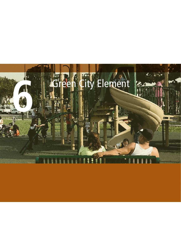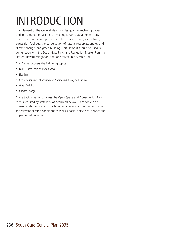# INTRODUCTION

This Element of the General Plan provides goals, objectives, policies, and implementation actions on making South Gate a "green" city. The Element addresses parks, civic plazas, open space, rivers, trails, equestrian facilities, the conservation of natural resources, energy and climate change, and green building. This Element should be used in conjunction with the South Gate Parks and Recreation Master Plan, the Natural Hazard Mitigation Plan, and Street Tree Master Plan.

The Element covers the following topics:

- Parks, Plazas, Trails and Open Space
- Flooding
- Conservation and Enhancement of Natural and Biological Resources
- Green Building
- Climate Change

These topic areas encompass the Open Space and Conservation Elements required by state law, as described below. Each topic is addressed in its own section. Each section contains a brief description of the relevant existing conditions as well as goals, objectives, policies and implementation actions.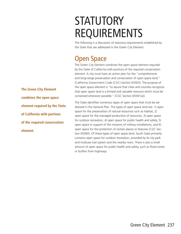# **STATUTORY** REQUIREMENTS

The following is a discussion of statutory requirements established by the State that are addressed in the Green City Element.

## Open Space

The Green City Element combines the open space element required by the State of California with portions of the required conservation element. A city must have an action plan for the "comprehensive and long-range preservation and conservation of open space land," (California Government Code (CGC) Section 65563). The purpose of the open space element is "to assure that cities and counties recognize that open space land is a limited and valuable resource which must be conserved whenever possible." (CGC Section 65561(a)).

The State identifies numerous types of open space that must be addressed in the General Plan. The types of open space land are: 1) open space for the preservation of natural resources such as habitat, 2) open space for the managed production of resources, 3) open space for outdoor recreation, 4) open space for public health and safety, 5) open space in support of the missions of military installations, and 6) open space for the protection of certain places or features (CGC Section 65560). Of these types of open space land, South Gate primarily contains open space for outdoor recreation, provided by its city park and multiuse trail system and the nearby rivers. There is also a small amount of open space for public health and safety, such as flood zones or buffers from highways.

**The Green City Element combines the open space element required by the State of California with portions of the required conservation element.**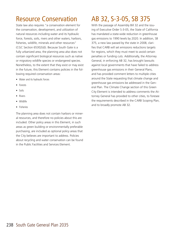# Resource Conservation

State law also requires "a conservation element for the conservation, development, and utilization of natural resources including water and its hydraulic force, forests, soils, rivers and other waters, harbors, fisheries, wildlife, minerals and other resources" (CGC Section 65302(d)). Because South Gate is a fully urbanized area, the planning area also does not contain significant biological resources such as native or migratory wildlife species or endangered species. Nonetheless, to the extent that they exist or may exist in the future, this Element contains policies in the following required conservation areas:

- Water and its hydraulic forces
- Forests
- Soils
- Rivers
- Wildlife
- Fisheries

The planning area does not contain harbors or mineral resources, and therefore no policies about this are included. Other policy areas in this Element, in such areas as green building or environmentally preferable purchasing, are included as optional policy areas that the City believes are important to address. Policies about recycling and water conservation can be found in the Public Facilities and Services Element.

## AB 32, S-3-05, SB 375

With the passage of Assembly Bill 32 and the issuing of Executive Order S-3-05, the State of California has mandated a state-wide reduction in greenhouse gas emissions to 1990 levels by 2020. In addition, SB 375, a new law passed by the state in 2008, clarifies that CARB will set emissions reductions targets for regions, which they must meet to avoid certain penalties or funding cuts. Additionally, the Attorney General, in enforcing AB 32, has brought lawsuits against local governments that have failed to address greenhouse gas emissions in their General Plans, and has provided comment letters to multiple cities around the State requesting that climate change and greenhouse gas emissions be addressed in the General Plan. The Climate Change section of this Green City Element is intended to address comments the Attorney General has provided to other cities, to foresee the requirements described in the CARB Scoping Plan, and to broadly promote AB 32.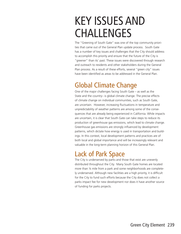# KEY ISSUES AND CHALLENGES

The "Greening of South Gate" was one of the top community priorities that came out of the General Plan update process. South Gate has a number of key issues and challenges that the City should address to accomplish this priority and ensure that the future of the City is "greener" than its' past. These issues were discovered through research and outreach to residents and other stakeholders during the General Plan process. As a result of these efforts, several "green city" issues have been identified as areas to be addressed in the General Plan.

## Global Climate Change

One of the major challenges facing South Gate – as well as the State and the country– is global climate change. The precise effects of climate change on individual communities, such as South Gate, are uncertain. However, increasing fluctuations in temperature and unpredictability of weather patterns are among some of the consequences that are already being experienced in California. While impacts are uncertain, it is clear that South Gate can take steps to reduce its production of greenhouse gas emissions, which lead to climate change. Greenhouse gas emissions are strongly influenced by development patterns, which dictate how energy is used in transportation and buildings. In this context, local development patterns and practices are of both local and global importance and will be increasingly relevant and valuable in the long-term planning horizon of this General Plan.

## Lack of Park Space

The City is underserved by parks and those that exist are unevenly distributed throughout the City. Many South Gate homes are located more than ¼ mile from a park and some neighborhoods are completely underserved. Although new facilities are a high priority, it is difficult for the City to fund such efforts because the City does not collect a parks impact fee for new development nor does it have another source of funding for parks projects.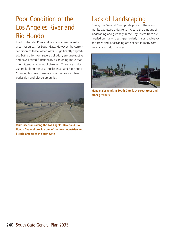## Poor Condition of the Los Angeles River and Rio Hondo

The Los Angeles River and Rio Hondo are potential green resources for South Gate. However, the current condition of these water ways is significantly degraded. Both suffer from severe pollution, are unattractive and have limited functionality as anything more than intermittent flood control channels. There are multiuse trails along the Los Angeles River and Rio Hondo Channel, however these are unattractive with few pedestrian and bicycle amenities.



**Multi-use trails along the Los Angeles River and Rio Hondo Channel provide one of the few pedestrian and bicycle amenities in South Gate.**

# Lack of Landscaping

During the General Plan update process, the community expressed a desire to increase the amount of landscaping and greenery in the City. Street trees are needed on many streets (particularly major roadways), and trees and landscaping are needed in many commercial and industrial areas.



**Many major roads in South Gate lack street trees and other greenery.**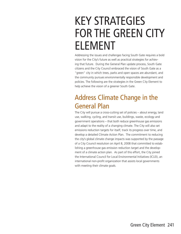# KEY STRATEGIES FOR THE GREEN CITY ELEMENT

Addressing the issues and challenges facing South Gate requires a bold vision for the City's future as well as practical strategies for achieving that future. During the General Plan update process, South Gate citizens and the City Council embraced the vision of South Gate as a "green" city in which trees, parks and open spaces are abundant, and the community pursues environmentally responsible development and policies. The following are the strategies in the Green City Element to help achieve the vision of a greener South Gate.

## Address Climate Change in the General Plan

The City will pursue a cross-cutting set of policies – about energy, land use, walking, cycling, and transit use, buildings, waste, ecology and government operations – that both reduce greenhouse gas emissions and adapt to the reality of a changing climate. The City will also set emissions reduction targets for itself, track its progress over time, and develop a detailed Climate Action Plan. The commitment to reducing the city's global climate change impacts was supported by the passage of a City Council resolution on April 8, 2008 that committed to establishing a greenhouse gas emission reduction target and the development of a climate action plan. As part of this effort, the City joined the International Council for Local Environmental Initiatives (ICLEI), an international non-profit organization that assists local governments with meeting their climate goals.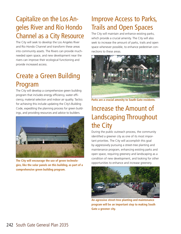# Capitalize on the Los Angeles River and Rio Hondo Channel as a City Resource

The City will seek to develop the Los Angeles River and Rio Hondo Channel and transform these areas into community assets. The Rivers can provide muchneeded open space, and new development near the rivers can improve their ecological functioning and provide increased access.

# Create a Green Building Program

The City will develop a comprehensive green building program that includes energy efficiency, water efficiency, material selection and indoor air quality. Tactics for achieving this include updating the City's Building Code, expediting the planning process for green buildings, and providing resources and advice to builders.



**The City will encourage the use of green technologies, like the solar panels on this building, as part of a comprehensive green building program.**

# Improve Access to Parks, Trails and Open Spaces

The City will maintain and enhance existing parks, which provide a crucial amenity. The City will also seek to increase the amount of parks, trails and open space whenever possible, to enhance pedestrian connections to these areas.



**Parks are a crucial amenity to South Gate residents.**

# Increase the Amount of Landscaping Throughout the City

During the public outreach process, the community identified a greener city as one of its most important priorities. The City will accomplish this goal by aggressively pursuing a street-tree planting and maintenance program, enhancing existing parks and open space, requiring greenery and landscaping as a condition of new development, and looking for other opportunities to enhance and increase greenery.



**An agressive street-tree planting and maintenance program will be an important step to making South Gate a greener city.**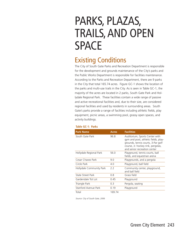# PARKS, PLAZAS, TRAILS, AND OPEN SPACE

## Existing Conditions

The City of South Gate Parks and Recreation Department is responsible for the development and grounds maintenance of the City's parks and the Public Works Department is responsible for facilities maintenance. According to the Parks and Recreation Department, there are 9 parks in the City that total 165.74 acres. Figure GC-1 shows the location of the parks and multi-use trails in the City. As is seen in Table GC-1, the majority of the acres are located in 2 parks, South Gate Park and Hollydale Regional Park. These facilities contain a wide range of passive and active recreational facilities and, due to their size, are considered regional facilities and used by residents in surrounding areas. South Gate's parks provide a range of facilities including athletic fields, play equipment, picnic areas, a swimming pool, grassy open spaces, and activity buildings.

| <b>Park Name</b>         | <b>Acres</b> | <b>Facilities</b>                                                                                                                                                                  |
|--------------------------|--------------|------------------------------------------------------------------------------------------------------------------------------------------------------------------------------------|
| South Gate Park          | 96.8         | Auditorium, Sports Center with<br>gym and pool, athletic fields, play-<br>grounds, tennis courts, 3-Par golf<br>course, Jr. hockey rink, pergolas,<br>and senior recreation center |
| Hollydale Regional Park  | 56.0         | Playground, tennis courts, ball<br>fields, and equestrian arena                                                                                                                    |
| Cesar Chavez Park        | 9.0          | Playgrounds, and a pergola                                                                                                                                                         |
| Circle Park              | 4.0          | Playground, ball field                                                                                                                                                             |
| Hollydale Community Park | 2.2          | Community center, playground,<br>and ball field                                                                                                                                    |
| State Street Park        | 0.8          | Grass field                                                                                                                                                                        |
| Gardendale Tot Lot       | 0.45         | Playground                                                                                                                                                                         |
| Triangle Park            | 0.3          | Pergola, seating                                                                                                                                                                   |
| Stanford Avenue Park     | 0.19         | Playground                                                                                                                                                                         |
| Total                    | 169.74       |                                                                                                                                                                                    |

#### **Table GC-1: Parks**

*Source: City of South Gate, 2006*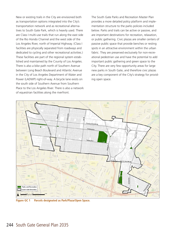New or existing trails in the City are envisioned both as transportation options integrated into the City's transportation network and as recreational alternatives to South Gate Park, which is heavily used. There are Class I multi-use trails that run along the east side of the Rio Hondo Channel and the west side of the Los Angeles River, north of Imperial Highway. (Class I facilities are physically separated from roadways and dedicated to cycling and other recreational activities.) These facilities are part of the regional system established and maintained by the County of Los Angeles. There is also a bike path north of Southern Avenue between Long Beach Boulevard and Atlantic Avenue in the City of Los Angeles Department of Water and Power (LADWP) right-of-way. A bicycle lane exists on the south side of Southern Avenue from Southern Place to the Los Angeles River. There is also a network of equestrian facilities along the riverfront.

The South Gate Parks and Recreation Master Plan provides a more detailed policy platform and implementation structure to the parks policies included below. Parks and trails can be active or passive, and are important destinations for recreation, relaxation, or public gathering. Civic plazas are smaller centers of passive public space that provide benches or resting spots in an attractive environment within the urban fabric. They are preserved exclusively for non-recreational pedestrian use and have the potential to add important public gathering and green space to the City. There are very few opportunity areas for large new parks in South Gate, and therefore civic plazas are a key component of the City's strategy for providing open space.



**Figure GC 1 Parcels designated as Park/Plaza/Open Space.**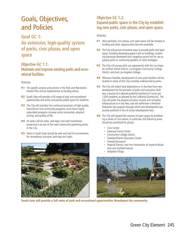# Goals, Objectives, and Policies

## **Goal GC 1:**

**An extensive, high-quality system of parks, civic plazas, and open space** 

### Objective GC 1.1:

### Maintain and improve existing parks and recreational facilities.

#### *Policies:*

- **P.1** The specific actions and policies in the Park and Recreation Master Plan will be implemented as funding allows.
- **P.2** South Gate will provide a full range of park and recreational opportunities and active and passive public space for residents.
- **P.3** The City will prioritize the continued provision of high-quality recreational and community programs, since these highly subscribed programs increase social connection, physical activity, and quality of life.
- **P.4** All parks will be clean, well-kept, and well-maintained, preserving it as one of the main community gathering points in the City.
- **P.5** Parks in South Gate should be safe and well lit environments for recreational activities, both day and night.



**South Gate will provide a full rante of park and recreational opportunities throuhgout the community.**

### Objective GC 1.2: Expand public space in the City by establishing new parks, civic plazas, and open space.

#### *Policies:*

- **P.1** New parkland, civic plazas, and open space will be created as funding and other opportunities become available.
- **P.2** The City will pursue innovative ways to provide parks and open space, including developing green roofs on buildings, reclaiming previously developed land, targeting vacant lots for use as passive parks or community gardens, or other strategies.
- **P.3** The City will pursue joint use agreements with the Los Angeles Unified School District, Los Angeles Community College District, and East Los Angeles College.
- **P.4** Wherever feasible, development of new park facilities will be located in areas of the City currently underserved by parks.
- **P.5** The City will collect land dedications or in lieu fees from new development for the provision of parks and recreation facilities, in pursuit of a desired parkland standard of 3 acres per 1,000 residents, as allowed by the California Quimby Act. The City will prefer the physical provision of park and recreation infrastructure to in lieu fees, and will administer a Parkland Deduction Fee program through which new development can provide parkland in lieu of certain development fees.
- **P.6** The City will expand the amount of open space by establishing a series of civic plazas. In particular, the following areas should be prioritized for plazas:
	- Civic Center
	- Gateway Transit Center
	- Community College District
	- Tweedy/Atlantic Education Center
	- Tweedy Boulevard
	- Imperial District, near the intersection of Imperial Boulevard and Garfield Avenue
	- Hollydale Village

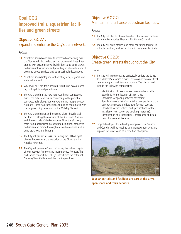## **Goal GC 2: Improved trails, equestrian facilities and green streets**

### Objective GC 2.1: Expand and enhance the City's trail network.

#### *Policies:*

- **P.1** New trails should contribute to increased connectivity across the City by reducing pedestrian and cycle travel times, integrating with existing sidewalks, bike lanes and other bicycle/ pedestrian infrastructure, and providing an alternate mode of access to goods, services, and other desirable destinations.
- **P.2** New trails should integrate with existing local, regional, and state trail networks.
- **P.3** Whenever possible, trails should be multi-use, accommodating both cyclists and pedestrians.
- **P.4** The City should pursue new north/south trail connections across the City, in particular connecting to the potential east-west trails along Southern Avenue and Independence/ Ardmore. These trail connections should be coordinated with the proposed bicycle network in the Mobility Element.
- **P.5** The City should enhance the existing Class I bicycle facilities that run along the east side of the Rio Hondo Channel and the west side of the Los Angeles River, transforming them from underutilized pathways to beautified, connected pedestrian and bicycle thoroughfares with amenities such as benches, tables, and lighting.
- **P.6** The City will pursue a Class I trail along the LADWP rightof-way that connects the west side of the City to the Los Angeles River trail.
- **P.7** The City will pursue a Class I trail along the railroad rightof-way between Ardmore and Independence Avenues. This trail should connect the College District with the potential Gateway Transit Village and the Los Angeles River.

#### Objective GC 2.2: Maintain and enhance equestrian facilities.

#### *Policies:*

- **P.1** The City will plan for the continuation of equestrian facilities along the Los Angeles River and Rio Hondo Channel.
- **P.2** The City will allow stables, and other equestrian facilities in suitable locations, in close proximity to the equestrian trails.

#### Objective GC 2.3: Create green streets throughout the City.

#### *Policies:*

- **P.1** The City will implement and periodically update the Street Tree Master Plan, which provides for a comprehensive street tree planting and maintenance program. The plan should include the following components:
	- Identification of streets where trees may be installed.
	- Standards for the location of street trees.
	- Standards for spacing between street trees.
	- Specification of a list of acceptable tree species and the appropriate streets and locations for each species.
	- Standards for size of trees and specifications for their installation (e.g. size of well, staking, materials).
	- $\cdot$  Identification of responsibilities, procedures, and standards for tree maintenance.
- **P.2** Project developers for redevelopment projects in Districts and Corridors will be required to plant new street trees and improve the streetscape as a condition of approval.



**Equestrian trails and facilities are part of the City's open space and trails network.**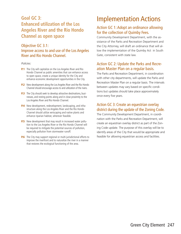## **Goal GC 3: Enhanced utilization of the Los Angeles River and the Rio Hondo Channel as open space**

### Objective GC 3.1: Improve access to and use of the Los Angeles River and Rio Hondo Channel.

#### *Policies:*

- **P.1** The City will capitalize on the Los Angeles River and Rio Hondo Channel as public amenities that can enhance access to open space, create a unique identity for the City and enhance economic development opportunities in the City.
- **P.2** New development along the Los Angeles River and the Rio Hondo Channel should encourage access to and utilization of the rivers.
- **P.3** The City should seek to develop attractive destinations, businesses, and resting points along and in close proximity to the Los Angeles River and Rio Hondo Channel.
- **P.4** New development, redevelopment, landscaping, and infrastructure along the Los Angeles River and the Rio Hondo Channel should utilize xeriscaping and native plants and enhance riparian habitat, wherever feasible.
- **P.5** New development that may result in increased water pollution to the Los Angeles River or the Rio Hondo Channel will be required to mitigate the potential sources of pollution, especially pollution from stormwater runoff.
- **P.6** The City may support regional or multi-jurisdictional efforts to improve the riverfront and to naturalize the river in a manner that restores the ecological functioning of the area.

# Implementation Actions

### Action GC 1: Adopt an ordinance allowing for the collection of Quimby Fees.

Community Development Department, with the assistance of the Parks and Recreation Department and the City Attorney, will draft an ordinance that will allow the implementation of the Quimby Act in South Gate, consistent with state law.

#### Action GC 2: Update the Parks and Recreation Master Plan on a regular basis.

The Parks and Recreation Department, in coordination with other city departments, will update the Parks and Recreation Master Plan on a regular basis. The intervals between updates may vary based on specific conditions but updates should take place approximately once every five years.

#### Action GC 3: Create an equestrian overlay district during the update of the Zoning Code.

The Community Development Department, in coordination with the Parks and Recreation Department, will create an equestrian overlay district as part of the Zoning Code update. The purpose of this overlay will be to identify areas of the City that would be appropriate and feasible for allowing equestrian access and facilities.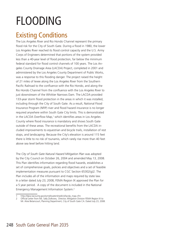# FLOODING

## Existing Conditions

The Los Angeles River and Rio Hondo Channel represent the primary flood risk for the City of South Gate. During a flood in 1980, the lower Los Angeles River reached its flood control capacity and the U.S. Army Corps of Engineers determined that portions of the system provided less than a 40-year level of flood protection, far below the minimum federal standard for flood control channels of 100 years. The Los Angeles County Drainage Area (LACDA) Project, completed in 2001 and administered by the Los Angeles County Department of Public Works, was a response to this flooding danger. The project raised the height of 21 miles of levee along the Los Angeles River from the Southern Pacific Railroad to the confluence with the Rio Hondo, and along the Rio Hondo Channel from the confluence with the Los Angeles River to just downstream of the Whittier Narrows Dam. The LACDA provided 133-year storm flood protection in the areas in which it was installed, including through the City of South Gate. As a result, National Flood Insurance Program (NFIP) river and flood hazard insurance is no longer required anywhere within South Gate City limits. This is demonstrated in the LACDA Overflow Map,<sup>1</sup> which identifies areas in Los Angeles County where flood insurance is mandatory and shows South Gate outside of these areas. The recreational benefits from the LACDA included improvements to equestrian and bicycle trails, installation of rest stops, and landscaping. Because the City's elevation is around 115 feet there is little to no risk of tsunamis, which rarely rise more than 40 feet above sea level before hitting land.

The *City of South Gate Natural Hazard Mitigation Plan* was adopted by the City Council on October 26, 2004 and amended May 13, 2008. This Plan identifies information regarding flood hazards, establishes a set of comprehensive goals, policies and objectives and a set of feasible implementation measures pursuant to CGC Section 65302(g)2. The Plan includes all of the information and maps required by state law. In a letter dated July 23, 2008, FEMA Region IX approved the Plan for a 5 year period. A copy of the document is included in the National Emergency Management Information System.2

<sup>1</sup> http://dpw.lacounty.gov/wmd/watershed/LA/lacda\_map.cfm

<sup>2</sup> Official Letter from Ms. Sally Ziolkows, Director, Mitigation Division FEMA Region IX to

Mr. Alvie Betancourt, Planning Department, City of South Gate CA. Dated July 23, 2008.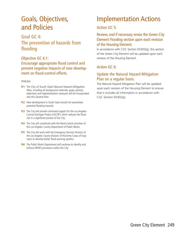## Goals, Objectives, and Policies

## **Goal GC 4: The prevention of hazards from flooding**

#### Objective GC 4.1: Encourage appropriate flood control and prevent negative impacts of new development on flood-control efforts.

#### *Policies:*

- **P.1** The *City of South Gate Natural Hazard Mitigation Plan*, including all background materials, goals, policies, objectives and implementation measures will be incorporated into this General Plan.
- **P.2** New development in South Gate should not exacerbate potential flooding hazards.
- **P.3** The City will provide continued support for the Los Angeles County Drainage Project (LACDP), which reduces the flood risk in a significant portion of the City.
- **P.4** The City will coordinate with the flood-control activities of the Los Angeles County Department of Public Works.
- **P.5** The City will work with the Emergency Services Division of the Los Angeles County Division of the Army Corps of Engineers to develop better flood warning systems.
- **P.6** The Public Works Department will continue to identify and enforce NPDES provisions within the City.

## Implementation Actions

#### Action GC 5:

#### Review, and if necessary revise the Green City Element Flooding section upon each revision of the Housing Element.

In accordance with CGC Section 65302(g), this section of the Green City Element will be updated upon each revision of the Housing Element.

### Action GC 6:

#### Update the Natural Hazard Mitigation Plan on a regular basis.

The Natural Hazard Mitigation Plan will be updated upon each revision of the Housing Element to ensure that it includes all information in accordance with CGC Section 65302(g).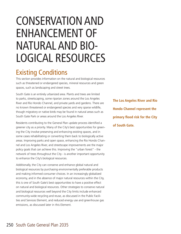# CONSERVATION AND ENHANCEMENT OF NATURAL AND BIO-LOGICAL RESOURCES

## Existing Conditions

This section provides information on the natural and biological resources such as threatened or endangered species, mineral resources and green spaces, such as landscaping and street trees.

South Gate is an entirely urbanized area. Plants and trees are limited to parks, streetscaping, some riparian zones around the Los Angeles River and Rio Hondo Channel, and private yards and gardens. There are no known threatened or endangered species and very sparse wildlife, though migratory or native birds may be found in natural areas such as South Gate Park or areas around the Los Angeles River.

Residents contributing to the General Plan update process identified a greener city as a priority. Many of the City's best opportunities for greening the City involve preserving and enhancing existing spaces, and in some cases rehabilitating or converting them back to biologically active areas. Improving parks and open space, enhancing the Rio Hondo Channel and Los Angeles River, and streetscape improvements are the major policy goals that can achieve this. Improving the "urban forest" - the network of trees throughout the City - is another important opportunity to enhance the City's biological resources.

Additionally, the City can conserve and enhance global natural and biological resources by purchasing environmentally preferable products and making informed consumer choices. In an increasingly globalized economy, and in the absence of major natural resources within the City, this is one of South Gate's best opportunities to have a positive effect on natural and biological resources. Other strategies to conserve natural and biological resources well beyond the City limits include enhanced community-wide recycling and reuse, as discussed in the Public Facilities and Services Element, and reduced energy use and greenhouse gas emissions, as discussed later in this Element.

**The Los Angeles River and Rio Hondo Channel represent the primary flood risk for the City of South Gate.**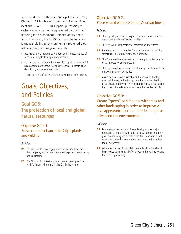To this end, the South Gate Municipal Code (SGMC) Chapter 1.54 Purchasing System And Bidding Rules (sections 1.54.710 - 750) supports purchasing recycled and environmentally-preferred products, and reducing the environmental impacts of city operations. Specifically, the SGMC contains the following language relating to environmentally preferred products and the use of recycle materials:

- Require all city departments to adopt and promote the use of recycled or recyclable supplies and materials
- Require the use of recycled or recyclable supplies and materials as a condition of approval for all city-sponsored construction, demolition, and renovation projects
- Encourage city staff to reduce their consumption of resources

## Goals, Objectives, and Policies

## **Goal GC 5: The protection of local and global natural resources**

### Objective GC 5.1: Preserve and enhance the City's plants and wildlife.

#### *Policies:*

- **P.1** The City should encourage property owners to landscape their property, and will encourage native plants, tree planting, and xeriscaping.
- **P.2** The City should protect any rare or endangered plants or wildlife that may be found in the City in the future.

#### Objective GC 5.2: Preserve and enhance the City's urban forest.

#### *Policies:*

- **P.1** The City will preserve and expand the urban forest in accordance with the Street Tree Master Plan.
- **P.2** The City will be responsible for maintaining street trees.
- **P.3** Residents will be responsible for watering new and existing streets trees on or adjacent to their property.
- **P.4** The City should consider native and drought resistant species of street trees whenever possible.
- **P.5** The City should use integrated pest management to avoid the unnecessary use of pesticides.
- **P.6** As needed, new non-residential and multifamily development will be required to incorporate the new tree planting or landscape improvements in the public rights-of-way along the property boundary consistent with the Tree Master Plan.

#### Objective GC 5.3:

Create "green" parking lots with trees and other landscaping in order to improve visual appearance and to minimize negative effects on the environment.

#### *Policies:*

- **P.1** Large parking lots as part of new development or major renovations should be well landscaped with trees and other greenery and designed to hold and filter stormwater runoff, reduce heat island effects and create a comfortable pedestrian environment.
- **P.2** Where parking lots front public streets, landscaping should be provided to serve as a buffer between the parking lot and the public right-of-way.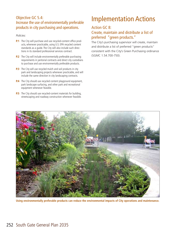### Objective GC 5.4: Increase the use of environmentally preferable products in city purchasing and operations.

#### *Policies:*

- **P.1** The City will purchase and use recycled-content office products, whenever practicable, using U.S. EPA recycled content standards as a guide. The City will also include such directions in its standard professional services contract.
- **P.2** The City will include environmentally preferable purchasing requirements in janitorial contracts and direct city custodians to purchase and use environmentally preferable products.
- **P.3** The City will use recycled mulch and soil products in city park and landscaping projects whenever practicable, and will include the same direction in city landscaping contracts.
- **P.4** The City should use recycled content playground equipment, park landscape surfacing, and other park and recreational equipment whenever feasible.
- **P.5** The City should use recycled-content materials for building, streetscaping and roadway construction whenever feasible.

# Implementation Actions

#### Action GC 8:

#### Create, maintain and distribute a list of preferred "green products."

The City's purchasing supervisor will create, maintain and distribute a list of preferred "green products" consistent with the City's Green Purchasing ordinance (SGMC 1.54.700-750).



**Using environmentally preferable products can reduce the environmental impacts of City operations and maintenance.**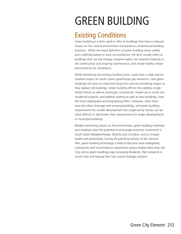# GREEN BUILDING

## Existing Conditions

Green building is a term used to refer to buildings that have a reduced impact on the natural environment compared to conventional building practices. While the exact definition of green building varies widely and is defined based on local circumstances, the term usually refers to buildings that use less energy, conserve water, use recycled materials in the construction and ongoing maintenance, and create healthy indoor environments for inhabitants.

While retrofitting the existing building stock could have a wide and immediate impact on South Gate's greenhouse gas emissions, new green buildings can have an important long-term and accumulating impact as they replace old buildings. Green building efforts that address singlefamily homes as well as municipal, commercial, mixed-use or multi-unit residential projects, and address existing as well as new buildings, have the most widespread and long-lasting effect. However, cities often have less direct leverage over existing buildings, and green building requirements for smaller development like single-family homes can be more difficult to administer than requirements for larger developments or municipal buildings.

Besides minimizing impact on the environment, green building incentives and initiatives have the potential to encourage economic investment in South Gate's Neighborhoods, Districts and Corridors, and to increase health and productivity. During the planning horizon of this General Plan, green building technology is likely to become more widespread, mainstream and incentivized or required by various bodies other than the City, and as green buildings reap increasing dividends, their presence in South Gate will improve the City's overall strategic position.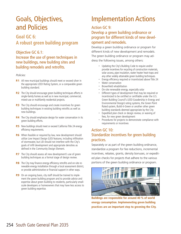## Goals, Objectives, and Policies

## **Goal GC 6: A robust green building program**

#### Objective GC 6.1:

## Increase the use of green techniques in new buildings, new building sites and building remodels and retrofits.

#### *Policies:*

- **P.1** All new municipal buildings should meet or exceed silver in the appropriate LEED Rating System, or a comparable green building standard.
- **P.2** The City should encourage green building techniques efforts in single-family homes as well as in new municipal, commercial, mixed-use or multifamily residential projects.
- **P.3** The City should encourage and create incentives for green building techniques in existing building retrofits as well as new buildings.
- **P.4** The City should emphasize design for water conservation in its green building efforts.
- **P.5** New buildings should meet or exceed California Title 24 energy efficiency requirements.
- **P.6** When feasible or required by law, new development should utilize Low Impact Design (LID) features, including infiltration of stormwater, but LID should not interfere with the City's goals of infill development and appropriate densities as defined in the Community Design Element.
- **P.7** The City should assess all new development's use of green building techniques as a formal stage of design review.
- **P.8** The City may finance energy efficiency retrofits and on-site renewable energy installation through a local assessment district, or provide administrative or financial support in other ways.
- **P.9** On an ongoing basis, city staff should be trained to implement the green building program and to provide advice and expertise about green building to residents, particularly smallscale developers or homeowners that may have less access to green building expertise.

# Implementation Actions

#### Action GC 9:

### Develop a green building ordinance or program for different kinds of new development and remodels.

Develop a green building ordinance or program for different kinds of new development and remodels. The green building ordinance or program may address the following issues, among others:

- Updating the City's Building Code to require and/or provide incentives for recycling of construction materials, solar access, pipe insulation, water heater heat-traps and any other widely attainable green building techniques.
- Energy efficiency required or incentivized above Title 24
- Water conservation
- Brownfield rehabilitation
- On-site renewable energy, especially solar
- Different types of development that may be required or incentivized to be certified or certifiable under the U.S. Green Building Council's LEED (Leadership in Energy and Environmental Design) rating systems, the Green Point Rated system, Build-it-Green or another other green building standards deemed appropriate by the City
- Expedited plan check or design review, or waiving of fees, for new green development
- Procedures for projects to demonstrate compliance with requirements or incentives

### Action GC 10: Standardize incentives for green building practices.

Separately or as part of the green building ordinance, standardize a program for fee reductions, incremental incentives, rebates, grants, density bonuses, or expedited plan checks for projects that adhere to the various portions of the green building ordinance or program.



**Buildings are responsible for around 40 % of world energy consumption. Implemeneting green building practices are an important step to greening the City.**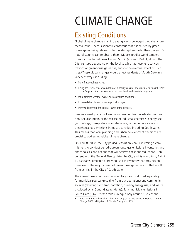# CLIMATE CHANGE

## Existing Conditions

Global climate change is an increasingly acknowledged global environmental issue. There is scientific consensus that it is caused by greenhouse gases being released into the atmosphere faster than the earth's natural systems can re-absorb them. Models predict world temperatures will rise by between 1.4 and 5.8 °C (2.5 and 10.4 °F) during the 21st century, depending on the level to which atmospheric concentrations of greenhouse gases rise, and on the eventual effect of such rises.3 These global changes would affect residents of South Gate in a variety of ways, including:

- More frequent heat waves.
- Rising sea levels, which would threaten nearby coastal infrastructure such as the Port of Los Angeles, other development near sea level, and coastal ecosystems.
- More extreme weather events such as storms and floods.
- Increased drought and water supply shortages .
- Increased potential for tropical insect-borne diseases.

Besides a small portion of emissions resulting from waste decomposition, soil disruption, or the release of industrial chemicals, energy use (in buildings, transportation, or elsewhere) is the primary source of greenhouse gas emissions in most U.S. cities, including South Gate. This means that local planning and urban development decisions are crucial to addressing global climate change.

On April 8, 2008, the City passed Resolution 7245 expressing a commitment to conduct periodic greenhouse gas emissions inventories and enact policies and actions that will achieve emissions reductions. Concurrent with the General Plan update, the City and its consultant, Raimi + Associates, prepared a greenhouse gas inventory that provides an overview of the major causes of greenhouse gas emissions that result from activity in the City of South Gate.

The Greenhouse Gas Inventory inventory was conducted separately for municipal sources (resulting from city operations) and community sources (resulting from transportation, building energy use, and waste produced by all South Gate residents). Total municipal emissions in South Gate (8,678 metric tons CO2eq) is only around 1.5% of the

<sup>3</sup> Intergovernmental Panel on Climate Change, Working Group III Report: Climate Change 2007: Mitigation of Climate Change, p. 133.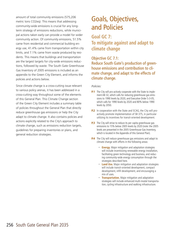amount of total community emissions (575,206 metric tons CO2eq). This means that addressing community-wide emissions is crucial for any longterm strategy of emissions reductions, while municipal actions taken early can provide a model for wider community action. Of community emissions, 51.5% came from residential and commercial building energy use, 41.4% came from transportation within city limits, and 7.1% came from waste produced by residents. This means that buildings and transportation are the largest targets for city-wide emissions reductions, followed by waste. The South Gate Greenhouse Gas Inventory of 2005 emissions is included as an appendix to the Green City Element, and informs the policies and actions below.

Since climate change is a cross-cutting issue relevant to various policy arenas, it has been addressed in a cross-cutting way throughout some of the elements of this General Plan. This Climate Change section of the Green City Element includes a summary table of policies throughout the General Plan that directly reduce greenhouse gas emissions or help the City adapt to climate change. It also contains policies and actions explicitly related to the City's approach to climate change, such as emissions reduction targets, guidelines for preparing inventories or plans, and general reduction strategies.

## Goals, Objectives, and Policies

## **Goal GC 7: To mitigate against and adapt to climate change**

Objective GC 7.1: Reduce South Gate's production of greenhouse emissions and contribution to climate change, and adapt to the effects of climate change.

#### *Policies:*

- **P.1** The City will pro-actively cooperate with the State to implement AB 32, which calls for reducing greenhouse gas emissions to 1990 levels by 2020, and Executive Order S-3-05, which calls for 1990 levels by 2020 and 80% below 1990 levels by 2050.
- **P.2** In cooperation with the State and SCAG, the City will proactively promote implementation of SB 375, in particular utilizing its incentives for transit-oriented development.
- **P.3** The City will strive to reduce its per capita greenhouse gas emissions to 15% below 2005 levels by 2020 (note: the 2005 levels are presented in the 2005 Greenhouse Gas Inventory, which is located in the Appendix of this General Plan).
- **P.4** The City will reduce greenhouse gas emissions and adapt to climate change with efforts in the following areas:
	- **Energy.** Major mitigation and adaptation strategies will include incentivizing renewable energy installation, facilitating green technology and business, and reducing community-wide energy consumption through the strategies described here.
	- **· Land Use.** Major mitigation and adaptation strategies will include transit-oriented development, compact development, infill development, and encouraging a mix of uses.
	- **Transportation.** Major mitigation and adaptation strategies will include enhanced multi-modal transportation, cycling infrastructure and walking infrastructure.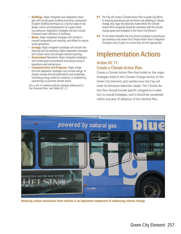- **· Buildings.** Major mitigation and adaptation strategies will include green building incentives, assessment of green building techniques as a formal stage of city design review, and development of a green building ordinance. Adaptation strategies will also include increased water efficiency in buildings.
- **Waste.** Major mitigation strategies will include increased composting and recycling, and efforts to reduce waste generation.
- **Ecology.** Major mitigation strategies will include tree planting and city greening. Major adaptation strategies will include native and drought-resistant planting.
- **Government** Operations. Major mitigation strategies will include green procurement and energy saving in operations and maintenance.
- x **Communication and Programs.** Major mitigation and adaptation strategies may include energy- or climate change-themed publications and workshops, facilitating energy audits for residents, or establishing partnerships to promote climate action.

*(For a list of related policies already addressed in the General Plan, see Table GC 2.)*

- **P.1** The City will create a Climate Action Plan to quide city efforts in reducing greenhouse gas emissions and adapting to climate change.Any major city decisions made before the Climate Action Plan is prepared should be consistent with the climate change goals and strategies in the Green City Element.
- **P.2** To the extent feasible, the City should complete a greenhouse gas inventory and review the Climate Action Plan's mitigation strategies every 5 years to ensure they are still appropriate.

## Implementation Actions

#### Action GC 11: Create a Climate Action Plan.

Create a Climate Action Plan that builds on the major strategies listed in the Climate Change section of the Green City Element, and clarifies how the City will meet its emissions reduction target. The Climate Action Plan should include specific mitigations in addition to overall strategies, and it should be completed within one year of adoption of the General Plan.



**Reducing carbon emaissions from vehicles is an important component of addressing climate change.**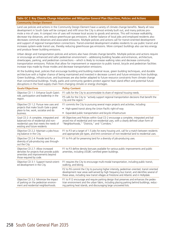#### **Table GC 2: Key Climate Change Adaptation and Mitigation General Plan Objectives, Policies and Actions Community Design Element**

Land use policies and actions in the Community Design Element have a variety of climate change benefits. Nearly all new development in South Gate will be compact and infill since the City is almost entirely built out, and many policies promote a mix of uses. A compact mix of uses will increase local access to goods and services. This will increase walkability, decrease trip distances, and reduce greenhouse gas emissions. A better balance of local jobs and employed residents also decreases commute distances and associated emissions. Multiple policies and actions call for transit-oriented development and support of regional transportation connections. Transit-oriented development enables residents to use public transit and increases system-wide transit use, thereby reducing greenhouse gas emissions. More compact buildings also use less energy and produce fewer building emissions.

Urban design and transportation policies and actions also have climate change benefits. Multiple policies and actions require or encourage an enhanced and safer pedestrian environment – addressing building facades and entrances, architecture, streetscapes, parking, and pedestrian connections – which is likely to increase walking rates and decrease community transportation emissions. Policies that allow for improvement or expansion to public transit, bicycle and pedestrian facilities increase trips made by those modes and decrease transportation emissions.

At the building level, policies that encourage building and building material reuse, green building techniques, and durable architecture with a higher chance of being maintained and invested in decrease current and future emissions from buildings. Green buildings, infrastructure, and businesses are also better adapted to future resource constraints from climate change than conventional buildings. Finally, parks and community gardens protect against heat island effect and potential future disruptions in the food supply chain from changing climate or energy shortages.

| <b>Goals/Objectives</b>                                                                                                                                    | <b>Policy Content</b>                                                                                                                                                                                                                                                                    |
|------------------------------------------------------------------------------------------------------------------------------------------------------------|------------------------------------------------------------------------------------------------------------------------------------------------------------------------------------------------------------------------------------------------------------------------------------------|
| Objective CD 1.1: Enhance South Gate's<br>role, participation and leadership in the<br>region.                                                             | P.1 calls for the City to accommodate its share of regional housing needs.                                                                                                                                                                                                               |
|                                                                                                                                                            | P.5 calls for the City to "actively support regional transportation decisions that benefit the<br>City and the region."                                                                                                                                                                  |
| Objective CD 1.2: Pursue new uses and                                                                                                                      | P.1 commits the City to pursuing several major projects and activities, including:                                                                                                                                                                                                       |
| projects that make South Gate a great<br>place to live, work, socialize and do                                                                             | High-speed transit along the Union Pacific right-of-way<br>$\bullet$                                                                                                                                                                                                                     |
| business.                                                                                                                                                  | Expanded public transportation and bicycle infrastructure<br>$\bullet$                                                                                                                                                                                                                   |
| Goal CD 2: A complete, integrated and<br>balanced mix of residential and non-<br>residential uses that meets the needs of<br>existing and future residents | All Objectives and Policies within Goal CD 2 encourage a complete, integrated and bal-<br>anced mix of residential and non-residential uses, with a clearly defined urban form of<br>"Neighborhoods," "Districts," and "Corridors."                                                      |
| Objective CD 2.2: Maintain a jobs-hous-<br>ing balance in the City.                                                                                        | P.1 to P.3 set a target of 1.5 jobs for every housing unit, call for a match between residents<br>and appropriate job types, and limit conversion of non-residential land to residential uses.                                                                                           |
| Objective CD 2.4: Provide land for a<br>diversity of job-producing uses through-<br>out the City.                                                          | P.1 to P.4 call for preserving land for a diversity of job-producing uses.                                                                                                                                                                                                               |
| Objective CD 2.7: Allow increased<br>densities for projects that provide public<br>amenities and improvements beyond<br>those required by code.            | P.1 to P.3 define density bonuses available for various public improvements and public<br>amenities, including USGBC-certified green buildings.                                                                                                                                          |
| Objective CD 3.1: Support transit-orient-<br>ed development in the City.                                                                                   | P.1 requires the City to encourage multi-modal transportation, including public transit,<br>walking, and biking.                                                                                                                                                                         |
|                                                                                                                                                            | P.2 to P.6 commit the City to pursuing higher intensity, pedestrian oriented, transit oriented<br>development near areas well-served by high frequency bus transit, and identifies several of<br>these areas, including new transit villages at Firestone and Atlantic and in Hollydale. |
| Objective CD 3.2: Minimize the impact<br>of parking on the pedestrian environ-<br>ment and residential neighborhoods.                                      | P.1 to P.12 encourage and require parking design that preserves and enhances the pedes-<br>trian environment and the urban fabric, including placing parking behind buildings, reduc-<br>ing parking heat islands, and discouraging large uncovered lots.                                |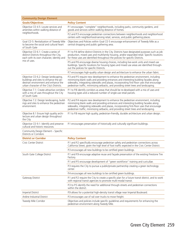| <b>Community Design Element</b>                                                                                                                                     |                                                                                                                                                                                                                                                                                                                                                                     |
|---------------------------------------------------------------------------------------------------------------------------------------------------------------------|---------------------------------------------------------------------------------------------------------------------------------------------------------------------------------------------------------------------------------------------------------------------------------------------------------------------------------------------------------------------|
| <b>Goals/Objectives</b>                                                                                                                                             | <b>Policy Content</b>                                                                                                                                                                                                                                                                                                                                               |
| Objective CD 4.5: Locate services and<br>amenities within walking distance of                                                                                       | P.1 encourages "complete" neighborhoods, including parks, community gardens, and<br>goods and services within walking distance of homes.                                                                                                                                                                                                                            |
| neighborhoods.                                                                                                                                                      | P.2 and P.3 encourage pedestrian connections between neighborhoods and neighborhood<br>centers with neighborhood-serving retail, services, and public gathering places.                                                                                                                                                                                             |
| Goal CD 5: Revitalization of Tweedy Mile<br>to become the social and cultural heart<br>of South Gate                                                                | Objectives and Policies within Goal CD 5 encourage enhancement of Tweedy Mile as a<br>central shopping and public gathering area.                                                                                                                                                                                                                                   |
| Objective CD 6.1: Create a series of<br>distinct Districts throughout the City,<br>each with its own character, identity and                                        | P.1 to P.4 define distinct Districts in the City. Districts have designated purposes such as job<br>production, mixed uses and multifamily housing, and/or expanded retail. Specific locations<br>for these uses are identified throughout the policies for specific Districts.                                                                                     |
| mix of uses.                                                                                                                                                        | P.5 and P.6 encourage diverse housing choices, including live-work units and mixed use<br>buildings. Specific locations for housing types and mixed use areas are identified through-<br>out the policies for specific Districts.                                                                                                                                   |
|                                                                                                                                                                     | P.7 encourages high-quality urban design and architecture to enhance the urban fabric.                                                                                                                                                                                                                                                                              |
| Objective CD 6.2: Design landscaping,<br>buildings and sites to enhance the pe-<br>destrian environment and enhance the<br>urban character of the City's Districts. | P.3 and P.5 require new development to enhance the pedestrian environment, including<br>minimizing blank walls and providing entrances and interesting building facades along<br>sidewalks, integrating sidewalks and plazas, incorporating first-floor uses that encourage<br>pedestrian traffic, minimizing setbacks, and providing street trees and landscaping. |
| Objective 7.1: Create attractive corridors<br>with a mix of uses throughout the City<br>of South Gate.                                                              | P.1 to P.8 identify corridors as areas that should be re-developed with a mix of uses and<br>housing types and a reduced number of single-use retail parcels.                                                                                                                                                                                                       |
| Objective 7.2: Design landscaping, build-<br>ings and sites to enhance the pedestrian<br>environment.                                                               | P.2 and P.4 require new development to enhance the pedestrian environment, including<br>minimizing blank walls and providing entrances and interesting building facades along<br>sidewalks, integrating sidewalks and plazas, incorporating first-floor uses that encourage<br>pedestrian traffic, minimizing setbacks, and providing street trees and landscaping. |
| Objective 8.1 Ensure high quality archi-<br>tecture and urban design throughout<br>the City.                                                                        | P.1 to P.8 require high quality, pedestrian-friendly, durable architecture and urban design.                                                                                                                                                                                                                                                                        |
| Objective CD 9.1: Identify and preserve<br>cultural and historic resources.                                                                                         | P.1 encourages preservation of historically and culturally significant buildings.                                                                                                                                                                                                                                                                                   |
| Community Design Element - Specific<br><b>Districts or Corridors</b>                                                                                                |                                                                                                                                                                                                                                                                                                                                                                     |
| <b>District or Corridor</b>                                                                                                                                         | <b>Policy Content</b>                                                                                                                                                                                                                                                                                                                                               |
| Civic Center District                                                                                                                                               | P.1 and P.2 specifically encourage pedestrian safety and pedestrian connections across<br>California Street, given the high level of foot traffic expected in the Civic Center District.                                                                                                                                                                            |
|                                                                                                                                                                     | P.3 encourages all new buildings to be certified green buildings.                                                                                                                                                                                                                                                                                                   |
| South Gate College District                                                                                                                                         | P.1 and P.9 encourage adaptive reuse and façade preservation of the existing Firestone Tire<br>Factory.                                                                                                                                                                                                                                                             |
|                                                                                                                                                                     | P.1 and P.5 encourage development of "green workforce" training and curicullae.                                                                                                                                                                                                                                                                                     |
|                                                                                                                                                                     | P.3 requires the City to pursue a public/private partnership creating a green technology<br>center.                                                                                                                                                                                                                                                                 |
|                                                                                                                                                                     | P.4 encourages all new buildings to be certified green buildings.                                                                                                                                                                                                                                                                                                   |
| Gateway District                                                                                                                                                    | P.1 and P.2 require the City to create a specific plan for a future transit district, and to work<br>with regional transit agencies to promote multi-modal transit.                                                                                                                                                                                                 |
|                                                                                                                                                                     | P.3 to P.5 identify the need for additional through-streets and pedestrian connections<br>within the district.                                                                                                                                                                                                                                                      |
| <b>Imperial District</b>                                                                                                                                            | P.9 allows for a potential high-density transit village near Imperial Boulevard.                                                                                                                                                                                                                                                                                    |
| Ardine Industrial District                                                                                                                                          | P.3 encourages use of rail over trucks to move freight.                                                                                                                                                                                                                                                                                                             |
| Tweedy Mile Corridor                                                                                                                                                | Objectives and policies include specific guidelines and requirements for enhancing the<br>pedestrian environment along Tweedy Mile.                                                                                                                                                                                                                                 |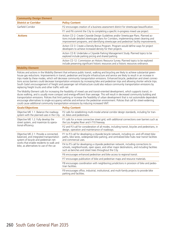| <b>Community Design Element</b> |                                                                                                                                                                                                                                                                             |
|---------------------------------|-----------------------------------------------------------------------------------------------------------------------------------------------------------------------------------------------------------------------------------------------------------------------------|
| <b>District or Corridor</b>     | <b>Policy Content</b>                                                                                                                                                                                                                                                       |
| Garfield Corridor               | P.2 encourages creation of a business assessment district for streetscape beautification.                                                                                                                                                                                   |
|                                 | P.1 and P.6 commit the City to completing a specific in-progress mixed use project.                                                                                                                                                                                         |
| <b>Actions</b>                  | Action CD 2: Create Citywide Design Guidelines and/or Streetscape Plans. Planned ac-<br>tions include detailed streetscape plans for Corridors, implementing street cleaning and<br>improvement programs, and identifying streetscape and pedestrian facility improvements. |
|                                 | Action CD 3: Create a Density Bonus Program. Program would define ways for project<br>developers to achieve increased density for their projects.                                                                                                                           |
|                                 | Action CD 8: Undertake a Citywide Parking Management Study. Planned topics to be<br>explored include parking pricing and shared parking.                                                                                                                                    |
|                                 | Action CD 12: Commission an Historic Resource Survey. Planned topics to be explored<br>include preserving significant historic resources and a historic resources ordinance.                                                                                                |
| <b>INVESTIGATION CONTINUES.</b> |                                                                                                                                                                                                                                                                             |

#### **Mobility Element**

Policies and actions in the Mobility Element that enhance public transit, walking and bicycling are likely to achieve substantial greenhouse gas reductions. Improvements in transit, pedestrian and bicycle infrastructure and service are likely to result in an increase in trips made by these modes, which will decrease community transportation emissions. Enhanced bicycle, pedestrian and street connections across barriers could decrease transportation emissions by increasing bike and pedestrian trips and allowing shorter vehicle trips. South Gate's encouragement of freight and passenger rail infrastructure could also reduce community transportation emissions by replacing freight trucks and other traffic with rail.

The Mobility Element calls for increasing the feasibility of mixed use and transit-oriented development, which supports transit, induces walking, and is usually more compact and energy-efficient than average. This will result in decreased community building and transportation emissions. Policies that limit parking or increase the feasibility of urban development that is not automobile dependent encourage alternatives to single-occupancy vehicles and enhance the pedestrian environment. Policies that call for street-widening could cause additional community transportation emissions by inducing increased VMT.

| <b>Goals/Objectives</b>                                                                                                                                                                                           | <b>Policy Content</b>                                                                                                                                                                                                                         |
|-------------------------------------------------------------------------------------------------------------------------------------------------------------------------------------------------------------------|-----------------------------------------------------------------------------------------------------------------------------------------------------------------------------------------------------------------------------------------------|
| Objective ME 1.1: Balance the roadway<br>system with the planned uses in the City.                                                                                                                                | P.2 calls for establishing multi-modal arterial corridor design standards, including for tran-<br>sit, bikes and pedestrians.                                                                                                                 |
| Objective ME 1.2: Fully develop the<br>street system, and maximize its opera-<br>tional efficiency.                                                                                                               | P.1 calls for a more connective street grid, with additional connections over barriers such as<br>the Los Angeles River and I-710 freeway.                                                                                                    |
|                                                                                                                                                                                                                   | P.2 and P.3 call for consideration of all modes, including transit, bicycles and pedestrians, in<br>design, operation and maintenance of roadways.                                                                                            |
| Objective ME 2.1: Provide a connected,<br>balanced, and integrated transportation<br>system of bicycle and pedestrian net-<br>works that enable residents to walk and<br>bike, as alternatives to use of the car. | P.1 to P.3 call for developing a citywide bicycle network, including on- and off-street bike<br>paths, bike lanes, widespread bike parking, and centralized bike hubs near transit facilities<br>and commercial uses.                         |
|                                                                                                                                                                                                                   | P.4 to P.5 call for developing a citywide pedestrian network, including connections to<br>schools, neighborhoods, open space, and other major destinations, and including facilities<br>such as benches and street trees throughout the City. |
|                                                                                                                                                                                                                   | P.6 encourages enhanced pedestrian and bike access to regional transit.                                                                                                                                                                       |
|                                                                                                                                                                                                                   | P.7 encourages publication of bike and pedestrian maps and resource materials.                                                                                                                                                                |
|                                                                                                                                                                                                                   | P.8 encourages coordination with neighboring jurisdictions in provision of bike and pedes-<br>trian facilities.                                                                                                                               |
|                                                                                                                                                                                                                   | P.9 encourages office, industrial, institutional, and multi-family projects to provide bike<br>parking and facilities.                                                                                                                        |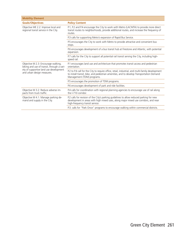| <b>Mobility Element</b>                                                                                                                                   |                                                                                                                                                                                                                            |
|-----------------------------------------------------------------------------------------------------------------------------------------------------------|----------------------------------------------------------------------------------------------------------------------------------------------------------------------------------------------------------------------------|
| <b>Goals/Objectives</b>                                                                                                                                   | <b>Policy Content</b>                                                                                                                                                                                                      |
| Objective ME 2.2: Improve local and<br>regional transit service in the City.                                                                              | P.1, P.2 and P.4 encourage the City to work with Metro (LACMTA) to provide more direct<br>transit routes to neighborhoods, provide additional routes, and increase the frequency of<br>routes.                             |
|                                                                                                                                                           | P.3 calls for supporting Metro's expansion of Rapid Bus Service.                                                                                                                                                           |
|                                                                                                                                                           | P.5 encourages the City to work with Metro to provide attractive and convenient bus<br>stops.                                                                                                                              |
|                                                                                                                                                           | P.6 encourages development of a bus transit hub at Firestone and Atlantic, with potential<br>expansion.                                                                                                                    |
|                                                                                                                                                           | P.7 calls for the City to support all potential rail transit serving the City, including high-<br>speed rail.                                                                                                              |
| Objective M 2.3: Encourage walking,<br>biking and use of transit, through a vari-<br>ety of supportive land use development<br>and urban design measures. | P.1 encourages land use and architecture that promotes transit access and pedestrian<br>orientation.                                                                                                                       |
|                                                                                                                                                           | P.2 to P.4 call for the City to require office, retail, industrial, and multi-family development<br>to install transit, bike, and pedestrian amenities, and to develop Transportation Demand<br>Management (TDM) programs. |
|                                                                                                                                                           | P.5 encourages the promotion of TDM programs.                                                                                                                                                                              |
|                                                                                                                                                           | P.6 encourages development of park and ride facilities.                                                                                                                                                                    |
| Objective M 3.2: Reduce adverse im-<br>pacts from truck traffic.                                                                                          | P.4 calls for coordination with regional planning agencies to encourage use of rail along<br>the I-710 corridor.                                                                                                           |
| Objective M 4.1: Manage parking de-<br>mand and supply in the City.                                                                                       | P.2 calls for revision of the City's parking guidelines to allow reduced parking for new<br>development in areas with high mixed uses, along major mixed use corridors, and near<br>high-frequency transit service.        |
|                                                                                                                                                           | P.3. calls for "Park Once" programs to encourage walking within commercial districts.                                                                                                                                      |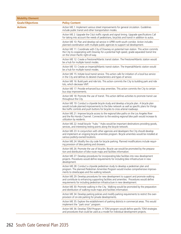| <b>Mobility Element</b> |                                                                                                                                                                                                                                                                             |
|-------------------------|-----------------------------------------------------------------------------------------------------------------------------------------------------------------------------------------------------------------------------------------------------------------------------|
| <b>Goals/Objectives</b> | <b>Policy Content</b>                                                                                                                                                                                                                                                       |
| <b>Actions</b>          | Action ME.1: Implement various street improvements for general circulation. Guidelines<br>include public transit and other transportation modes.                                                                                                                            |
|                         | Action ME 2: Upgrade the City's traffic signals and signal timing. Upgrade specifications Call<br>for taking into account the needs of pedestrians, bicyclists and transit in addition to autos.                                                                            |
|                         | Action ME 10: Plan and develop rail service in UPRR north-south corridor. Action includes<br>planned coordination with multiple public agencies to support rail development.                                                                                                |
|                         | Action ME 11: Coordinate with City of Downey on potential train station. This action commits<br>the City to cooperating with Downey for a potential high speed, grade-separated transit line<br>on the Union Pacific right-of-way.                                          |
|                         | Action ME 12: Create a Firestone/Atlantic transit station. The Firestone/Atlantic station would<br>be a hub for multiple transit modes.                                                                                                                                     |
|                         | Action ME 13: Create an Imperial/Atlantic transit station. The Imperial/Atlantic station would<br>be a hub for multiple transit modes.                                                                                                                                      |
|                         | Action ME 15: Initiate local transit service. This action calls for initiation of a local bus service<br>in the City and defines its desired characteristics and types of service.                                                                                          |
|                         | Action ME 16: Build park and ride lots. This action commits the City to building park and ride<br>lots, which decrease VMT.                                                                                                                                                 |
|                         | Action ME 17: Provide enhanced bus stop amenities. This action commits the City to certain<br>bus stop improvements.                                                                                                                                                        |
|                         | Action ME 18: Promote the use of transit. This action defines activities to promote transit use<br>throughout the City.                                                                                                                                                     |
|                         | Action ME 19: Conduct a citywide bicycle study and develop a bicycle plan. A bicycle plan<br>would include planned improvements to the bike network as well as specific plans for things<br>like traffic controls and push buttons for bicycles to cross arterial roadways. |
|                         | Action ME 21: Improve bicycle access to the regional bike paths on the Los Angeles River<br>and the Rio Hondo Channel. Connection to the existing regional bike path would increase its<br>utilization by residents.                                                        |
|                         | Action ME 22: Install bicycle "hubs." Hubs would be important destinations providing goods,<br>services, and interesting resting points along the bicycle network.                                                                                                          |
|                         | Action ME 23: In conjunction with other agencies and developers the City should develop<br>and implement an ongoing bicycle amenities program. Bicycle amenities would be installed at<br>various publicly-owned locations.                                                 |
|                         | Action ME 24: Modify the city code for bicycle parking. Planned modifications include requir-<br>ing provision of bike parking and showers.                                                                                                                                 |
|                         | Action ME 26: Promote the use of bicycles. Bicycle use would be promoted by the prepara-<br>tion and distribution of bike route maps and facilities information.                                                                                                            |
|                         | Action ME 27: Develop procedures for incorporating bike facilities into new development<br>projects. Procedures would define requirements for including bike infrastructure in new<br>development.                                                                          |
|                         | Action ME 28: Conduct a citywide pedestrian study to develop a pedestrian plan and<br>program. The planned Pedestrian Amenities Program would involve comprehensive improve-<br>ments to streetscapes and the walking network.                                              |
|                         | Action ME 29: Develop procedures for new development to support and promote walking<br>and contribute to enhancing supporting facilities and amenities. Procedures would define<br>requirements for including pedestrian infrastructure in new development.                 |
|                         | Action ME 30: Promote walking in the City. Walking would be promoted by the preparation<br>and distribution of walking route maps and facilities information.                                                                                                               |
|                         | Action ME 34: Develop parking policies and modify parking requirements to restrict the over-<br>provision of on-site parking for private developments.                                                                                                                      |
|                         | Action ME 35: Explore the establishment of parking districts in commercial areas. This would<br>implement the "park once" program.                                                                                                                                          |
|                         | Action ME 36: Develop TDM Program. A TDM program would define specific TDM strategies<br>and procedures that could be used as a model for individual development projects.                                                                                                  |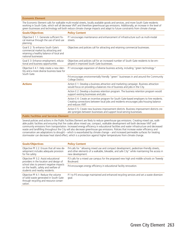#### **Economic Element**

The Economic Element calls for walkable multi-modal streets, locally available goods and services, and more South Gate residents working in South Gate, which will all decrease VMT and therefore greenhouse gas emissions. Additionally, an increase in the level of green businesses and technology will both reduce climate change impacts and adapt to future constraints from climate change.

| <b>Goals/Objectives</b>                                                                                                                     | <b>Policy Content</b>                                                                                                                                                                                  |
|---------------------------------------------------------------------------------------------------------------------------------------------|--------------------------------------------------------------------------------------------------------------------------------------------------------------------------------------------------------|
| Objective E 1.1: Generate sufficient fis-<br>cal revenue through the use of land use<br>planning.                                           | P.1 encourages maintenance and enhancement of infrastructure such as multi-modal<br>streets.                                                                                                           |
| Goal E 2: To enhance South Gate's<br>commercial market by attracting and<br>retaining a healthy balance of local and<br>national businesses | Objectives and policies call for attracting and retaining commercial businesses.                                                                                                                       |
| Goal E 3: Enhance employment, educa-<br>tional and business opportunities                                                                   | Objectives and policies call for an increased number of South Gate residents to be em-<br>ployed in improved South Gate businesses.                                                                    |
| Objective E 4.1: Help create a new iden-<br>tity and a more diverse business base for<br>South Gate.                                        | P.1 encourages expansion of diverse business activity, including "green technology."                                                                                                                   |
|                                                                                                                                             | P.4 encourages environmentally friendly "green" businesses in and around the Community<br>College District.                                                                                            |
| <b>Actions</b>                                                                                                                              | Action E 1: Develop a business attraction and marketing campaign. Business attraction<br>would focus on providing a balances mix of business and jobs in the City.                                     |
|                                                                                                                                             | Action E 2: Develop a business retention program. The business retention program would<br>support existing businesses and jobs.                                                                        |
|                                                                                                                                             | Action E 4: Create an incentive program for South Gate-based employers to hire residents.<br>Creating connections between local jobs and residents encourages jobs-housing balance<br>and reduces VMT. |
|                                                                                                                                             | Action E 5: Create new business improvement districts. Business improvement districts cre-<br>ate synergies between businesses and support local-serving businesses.                                   |
| <b>Public Facilities and Services Element</b>                                                                                               |                                                                                                                                                                                                        |

Several policies and actions in the Public Facilities Element are likely to reduce greenhouse gas emissions. Creating mixed use, walkable public facilities and ensuring that fire codes allow mixed use, compact, walkable development will both decrease VMT and community emissions from transportation. Increased energy efficiency in educational facilities and water infrastructure and decreased waste and landfilling throughout the City will also decrease greenhouse gas emissions. Policies that increase water efficiency and conservation are adaptations to drought – which is exacerbated by climate change – and increased permeable surfaces for treating stormwater can decrease heat island effect, which is a protection against higher temperatures from climate change.

| <b>Goals/Objectives</b>                                                                                                                                                                               | <b>Policy Content</b>                                                                                                                                                                                      |
|-------------------------------------------------------------------------------------------------------------------------------------------------------------------------------------------------------|------------------------------------------------------------------------------------------------------------------------------------------------------------------------------------------------------------|
| Objective PF 2.2: Ensure that all new de-<br>velopment includes adequate provision<br>for fire safety                                                                                                 | P.4 calls for "allowing mixed use and compact development, pedestrian-friendly streets,<br>and other elements of a walkable, bikeable, and safe City" while maintaining fire access in<br>new development. |
| Objective PF 3.2: Assist educational<br>providers in the location and design of<br>school sites to prevent negative impacts<br>on the health, safety and welfare of<br>students and nearby residents. | P.3 calls for a mixed use campus for the proposed new high and middle schools on Tweedy<br>Boulevard.                                                                                                      |
|                                                                                                                                                                                                       | P.4 encourages energy efficiency in educational facility renovation.                                                                                                                                       |
| Objective PF 4.1: Reduce the volume<br>of solid waste generated in South Gate<br>through recycling and resource conser-<br>vation.                                                                    | P.1 to P.5 encourage maintained and enhanced recycling services and set a waste diversion<br>goal.                                                                                                         |